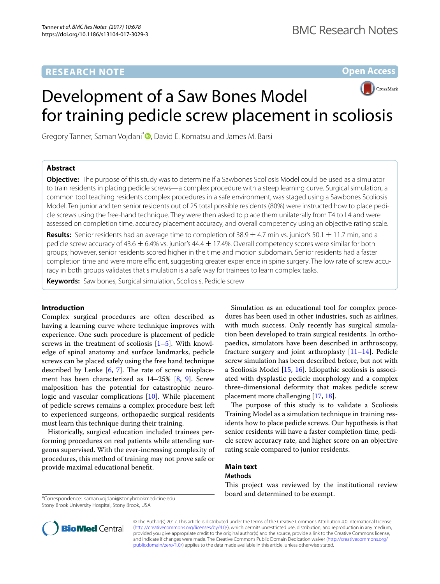## **RESEARCH NOTE**

**Open Access**



# Development of a Saw Bones Model for training pedicle screw placement in scoliosis

Gregory Tanner, Saman Vojdani<sup>[\\*](http://orcid.org/0000-0001-5823-027X)</sup><sup>1</sup>, David E. Komatsu and James M. Barsi

## **Abstract**

**Objective:** The purpose of this study was to determine if a Sawbones Scoliosis Model could be used as a simulator to train residents in placing pedicle screws—a complex procedure with a steep learning curve. Surgical simulation, a common tool teaching residents complex procedures in a safe environment, was staged using a Sawbones Scoliosis Model. Ten junior and ten senior residents out of 25 total possible residents (80%) were instructed how to place pedicle screws using the free-hand technique. They were then asked to place them unilaterally from T4 to L4 and were assessed on completion time, accuracy placement accuracy, and overall competency using an objective rating scale.

**Results:** Senior residents had an average time to completion of  $38.9 \pm 4.7$  min vs. junior's 50.1  $\pm$  11.7 min, and a pedicle screw accuracy of 43.6  $\pm$  6.4% vs. junior's 44.4  $\pm$  17.4%. Overall competency scores were similar for both groups; however, senior residents scored higher in the time and motion subdomain. Senior residents had a faster completion time and were more efficient, suggesting greater experience in spine surgery. The low rate of screw accuracy in both groups validates that simulation is a safe way for trainees to learn complex tasks.

**Keywords:** Saw bones, Surgical simulation, Scoliosis, Pedicle screw

## **Introduction**

Complex surgical procedures are often described as having a learning curve where technique improves with experience. One such procedure is placement of pedicle screws in the treatment of scoliosis  $[1-5]$  $[1-5]$  $[1-5]$ . With knowledge of spinal anatomy and surface landmarks, pedicle screws can be placed safely using the free hand technique described by Lenke  $[6, 7]$  $[6, 7]$  $[6, 7]$  $[6, 7]$ . The rate of screw misplacement has been characterized as 14–25% [[8,](#page-3-4) [9\]](#page-3-5). Screw malposition has the potential for catastrophic neurologic and vascular complications [\[10](#page-3-6)]. While placement of pedicle screws remains a complex procedure best left to experienced surgeons, orthopaedic surgical residents must learn this technique during their training.

Historically, surgical education included trainees performing procedures on real patients while attending surgeons supervised. With the ever-increasing complexity of procedures, this method of training may not prove safe or provide maximal educational beneft.

Simulation as an educational tool for complex procedures has been used in other industries, such as airlines, with much success. Only recently has surgical simulation been developed to train surgical residents. In orthopaedics, simulators have been described in arthroscopy, fracture surgery and joint arthroplasty [\[11](#page-3-7)[–14](#page-3-8)]. Pedicle screw simulation has been described before, but not with a Scoliosis Model [\[15](#page-4-0), [16](#page-4-1)]. Idiopathic scoliosis is associated with dysplastic pedicle morphology and a complex three-dimensional deformity that makes pedicle screw placement more challenging [[17,](#page-4-2) [18\]](#page-4-3).

The purpose of this study is to validate a Scoliosis Training Model as a simulation technique in training residents how to place pedicle screws. Our hypothesis is that senior residents will have a faster completion time, pedicle screw accuracy rate, and higher score on an objective rating scale compared to junior residents.

## **Main text Methods**

This project was reviewed by the institutional review board and determined to be exempt.

\*Correspondence: saman.vojdani@stonybrookmedicine.edu Stony Brook University Hospital, Stony Brook, USA



© The Author(s) 2017. This article is distributed under the terms of the Creative Commons Attribution 4.0 International License [\(http://creativecommons.org/licenses/by/4.0/\)](http://creativecommons.org/licenses/by/4.0/), which permits unrestricted use, distribution, and reproduction in any medium, provided you give appropriate credit to the original author(s) and the source, provide a link to the Creative Commons license, and indicate if changes were made. The Creative Commons Public Domain Dedication waiver ([http://creativecommons.org/](http://creativecommons.org/publicdomain/zero/1.0/) [publicdomain/zero/1.0/](http://creativecommons.org/publicdomain/zero/1.0/)) applies to the data made available in this article, unless otherwise stated.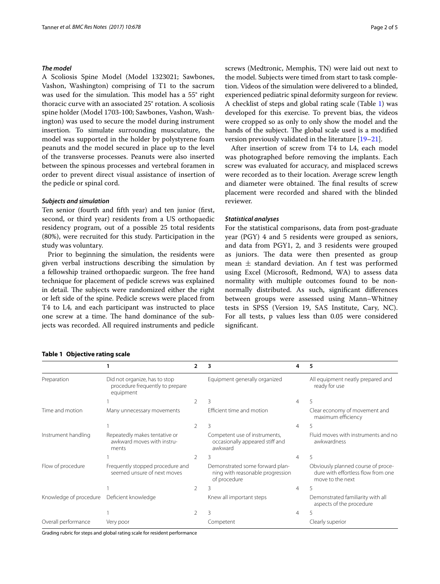## *The model*

A Scoliosis Spine Model (Model 1323021; Sawbones, Vashon, Washington) comprising of T1 to the sacrum was used for the simulation. This model has a 55° right thoracic curve with an associated 25° rotation. A scoliosis spine holder (Model 1703-100; Sawbones, Vashon, Washington) was used to secure the model during instrument insertion. To simulate surrounding musculature, the model was supported in the holder by polystyrene foam peanuts and the model secured in place up to the level of the transverse processes. Peanuts were also inserted between the spinous processes and vertebral foramen in order to prevent direct visual assistance of insertion of the pedicle or spinal cord.

## *Subjects and simulation*

Ten senior (fourth and ffth year) and ten junior (frst, second, or third year) residents from a US orthopaedic residency program, out of a possible 25 total residents (80%), were recruited for this study. Participation in the study was voluntary.

Prior to beginning the simulation, the residents were given verbal instructions describing the simulation by a fellowship trained orthopaedic surgeon. The free hand technique for placement of pedicle screws was explained in detail. The subjects were randomized either the right or left side of the spine. Pedicle screws were placed from T4 to L4, and each participant was instructed to place one screw at a time. The hand dominance of the subjects was recorded. All required instruments and pedicle

screws (Medtronic, Memphis, TN) were laid out next to the model. Subjects were timed from start to task completion. Videos of the simulation were delivered to a blinded, experienced pediatric spinal deformity surgeon for review. A checklist of steps and global rating scale (Table [1\)](#page-1-0) was developed for this exercise. To prevent bias, the videos were cropped so as only to only show the model and the hands of the subject. The global scale used is a modified version previously validated in the literature [\[19–](#page-4-4)[21\]](#page-4-5).

After insertion of screw from T4 to L4, each model was photographed before removing the implants. Each screw was evaluated for accuracy, and misplaced screws were recorded as to their location. Average screw length and diameter were obtained. The final results of screw placement were recorded and shared with the blinded reviewer.

### *Statistical analyses*

For the statistical comparisons, data from post-graduate year (PGY) 4 and 5 residents were grouped as seniors, and data from PGY1, 2, and 3 residents were grouped as juniors. The data were then presented as group mean  $\pm$  standard deviation. An f test was performed using Excel (Microsoft, Redmond, WA) to assess data normality with multiple outcomes found to be nonnormally distributed. As such, signifcant diferences between groups were assessed using Mann–Whitney tests in SPSS (Version 19, SAS Institute, Cary, NC). For all tests, p values less than 0.05 were considered signifcant.

## <span id="page-1-0"></span>**Table 1 Objective rating scale**

|                        |                                                                               | 2 | з                                                                                   | 4 | 5                                                                                            |
|------------------------|-------------------------------------------------------------------------------|---|-------------------------------------------------------------------------------------|---|----------------------------------------------------------------------------------------------|
| Preparation            | Did not organize, has to stop<br>procedure frequently to prepare<br>equipment |   | Equipment generally organized                                                       |   | All equipment neatly prepared and<br>ready for use                                           |
|                        |                                                                               |   | 3                                                                                   | 4 | 5                                                                                            |
| Time and motion        | Many unnecessary movements                                                    |   | Efficient time and motion                                                           |   | Clear economy of movement and<br>maximum efficiency                                          |
|                        |                                                                               |   | 3                                                                                   | 4 | 5                                                                                            |
| Instrument handling    | Repeatedly makes tentative or<br>awkward moves with instru-<br>ments          |   | Competent use of instruments,<br>occasionally appeared stiff and<br>awkward         |   | Fluid moves with instruments and no<br>awkwardness                                           |
|                        |                                                                               | 2 | 3                                                                                   |   | 5                                                                                            |
| Flow of procedure      | Frequently stopped procedure and<br>seemed unsure of next moves               |   | Demonstrated some forward plan-<br>ning with reasonable progression<br>of procedure |   | Obviously planned course of proce-<br>dure with effortless flow from one<br>move to the next |
|                        |                                                                               | 2 | 3                                                                                   | 4 | 5                                                                                            |
| Knowledge of procedure | Deficient knowledge                                                           |   | Knew all important steps                                                            |   | Demonstrated familiarity with all<br>aspects of the procedure                                |
|                        |                                                                               |   |                                                                                     | 4 |                                                                                              |
| Overall performance    | Very poor                                                                     |   | Competent                                                                           |   | Clearly superior                                                                             |

Grading rubric for steps and global rating scale for resident performance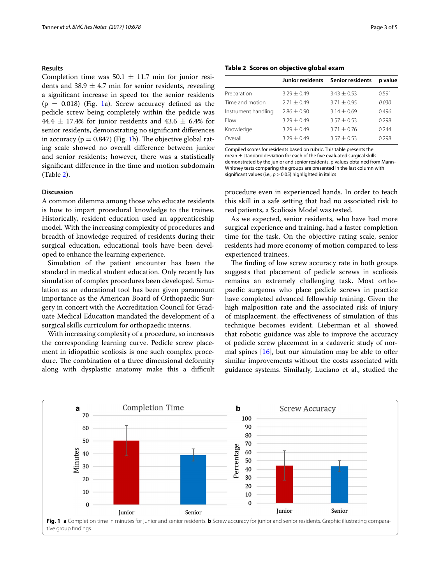## **Results**

Completion time was  $50.1 \pm 11.7$  min for junior residents and  $38.9 \pm 4.7$  min for senior residents, revealing a signifcant increase in speed for the senior residents  $(p = 0.018)$  (Fig. [1a](#page-2-0)). Screw accuracy defined as the pedicle screw being completely within the pedicle was 44.4  $\pm$  17.4% for junior residents and 43.6  $\pm$  6.4% for senior residents, demonstrating no signifcant diferences in accuracy ( $p = 0.847$ ) (Fig. [1](#page-2-0)b). The objective global rating scale showed no overall diference between junior and senior residents; however, there was a statistically signifcant diference in the time and motion subdomain (Table [2](#page-2-1)).

## **Discussion**

A common dilemma among those who educate residents is how to impart procedural knowledge to the trainee. Historically, resident education used an apprenticeship model. With the increasing complexity of procedures and breadth of knowledge required of residents during their surgical education, educational tools have been developed to enhance the learning experience.

Simulation of the patient encounter has been the standard in medical student education. Only recently has simulation of complex procedures been developed. Simulation as an educational tool has been given paramount importance as the American Board of Orthopaedic Surgery in concert with the Accreditation Council for Graduate Medical Education mandated the development of a surgical skills curriculum for orthopaedic interns.

With increasing complexity of a procedure, so increases the corresponding learning curve. Pedicle screw placement in idiopathic scoliosis is one such complex procedure. The combination of a three dimensional deformity along with dysplastic anatomy make this a difficult

<span id="page-2-1"></span>**Table 2 Scores on objective global exam**

|                     |                 | Junior residents Senior residents | p value |
|---------------------|-----------------|-----------------------------------|---------|
| Preparation         | $3.29 \pm 0.49$ | $3.43 \pm 0.53$                   | 0.591   |
| Time and motion     | $2.71 \pm 0.49$ | $3.71 + 0.95$                     | 0.030   |
| Instrument handling | $2.86 \pm 0.90$ | $3.14 \pm 0.69$                   | 0.496   |
| Flow                | $3.29 + 0.49$   | $3.57 + 0.53$                     | 0.298   |
| Knowledge           | $3.29 \pm 0.49$ | $3.71 \pm 0.76$                   | 0.244   |
| Overall             | $3.29 + 0.49$   | $3.57 + 0.53$                     | 0.298   |

Compiled scores for residents based on rubric. This table presents the mean  $\pm$  standard deviation for each of the five evaluated surgical skills demonstrated by the junior and senior residents. p values obtained from Mann– Whitney tests comparing the groups are presented in the last column with signifcant values (i.e., p > 0.05) highlighted in italics

procedure even in experienced hands. In order to teach this skill in a safe setting that had no associated risk to real patients, a Scoliosis Model was tested.

As we expected, senior residents, who have had more surgical experience and training, had a faster completion time for the task. On the objective rating scale, senior residents had more economy of motion compared to less experienced trainees.

The finding of low screw accuracy rate in both groups suggests that placement of pedicle screws in scoliosis remains an extremely challenging task. Most orthopaedic surgeons who place pedicle screws in practice have completed advanced fellowship training. Given the high malposition rate and the associated risk of injury of misplacement, the efectiveness of simulation of this technique becomes evident. Lieberman et al. showed that robotic guidance was able to improve the accuracy of pedicle screw placement in a cadaveric study of normal spines  $[16]$  $[16]$ , but our simulation may be able to offer similar improvements without the costs associated with guidance systems. Similarly, Luciano et al., studied the

<span id="page-2-0"></span>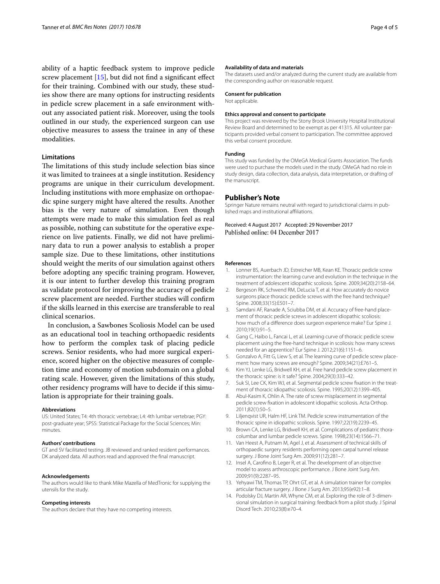ability of a haptic feedback system to improve pedicle screw placement  $[15]$ , but did not find a significant effect for their training. Combined with our study, these studies show there are many options for instructing residents in pedicle screw placement in a safe environment without any associated patient risk. Moreover, using the tools outlined in our study, the experienced surgeon can use objective measures to assess the trainee in any of these modalities.

#### **Limitations**

The limitations of this study include selection bias since it was limited to trainees at a single institution. Residency programs are unique in their curriculum development. Including institutions with more emphasize on orthopaedic spine surgery might have altered the results. Another bias is the very nature of simulation. Even though attempts were made to make this simulation feel as real as possible, nothing can substitute for the operative experience on live patients. Finally, we did not have preliminary data to run a power analysis to establish a proper sample size. Due to these limitations, other institutions should weight the merits of our simulation against others before adopting any specifc training program. However, it is our intent to further develop this training program as validate protocol for improving the accuracy of pedicle screw placement are needed. Further studies will confrm if the skills learned in this exercise are transferable to real clinical scenarios.

In conclusion, a Sawbones Scoliosis Model can be used as an educational tool in teaching orthopaedic residents how to perform the complex task of placing pedicle screws. Senior residents, who had more surgical experience, scored higher on the objective measures of completion time and economy of motion subdomain on a global rating scale. However, given the limitations of this study, other residency programs will have to decide if this simulation is appropriate for their training goals.

#### **Abbreviations**

US: United States; T4: 4th thoracic vertebrae; L4: 4th lumbar vertebrae; PGY: post-graduate year; SPSS: Statistical Package for the Social Sciences; Min: minutes.

#### **Authors' contributions**

GT and SV facilitated testing. JB reviewed and ranked resident performances. DK analyzed data. All authors read and approved the fnal manuscript.

#### **Acknowledgements**

The authors would like to thank Mike Mazella of MedTronic for supplying the utensils for the study.

#### **Competing interests**

The authors declare that they have no competing interests.

#### **Availability of data and materials**

The datasets used and/or analyzed during the current study are available from the corresponding author on reasonable request.

#### **Consent for publication**

Not applicable.

#### **Ethics approval and consent to participate**

This project was reviewed by the Stony Brook University Hospital Institutional Review Board and determined to be exempt as per 41315. All volunteer participants provided verbal consent to participation. The committee approved this verbal consent procedure.

#### **Funding**

This study was funded by the OMeGA Medical Grants Association. The funds were used to purchase the models used in the study. OMeGA had no role in study design, data collection, data analysis, data interpretation, or drafting of the manuscript.

#### **Publisher's Note**

Springer Nature remains neutral with regard to jurisdictional claims in published maps and institutional affiliations.

Received: 4 August 2017 Accepted: 29 November 2017 Published online: 04 December 2017

#### **References**

- <span id="page-3-0"></span>1. Lonner BS, Auerbach JD, Estreicher MB, Kean KE. Thoracic pedicle screw instrumentation: the learning curve and evolution in the technique in the treatment of adolescent idiopathic scoliosis. Spine. 2009;34(20):2158–64.
- 2. Bergeson RK, Schwend RM, DeLucia T, et al. How accurately do novice surgeons place thoracic pedicle screws with the free hand technique? Spine. 2008;33(15):E501–7.
- 3. Samdani AF, Ranade A, Sciubba DM, et al. Accuracy of free-hand placement of thoracic pedicle screws in adolescent idiopathic scoliosis: how much of a diference does surgeon experience make? Eur Spine J. 2010;19(1):91–5.
- 4. Gang C, Haibo L, Fancai L, et al. Learning curve of thoracic pedicle screw placement using the free-hand technique in scoliosis: how many screws needed for an apprentice? Eur Spine J. 2012;21(6):1151–6.
- <span id="page-3-1"></span>5. Gonzalvo A, Fitt G, Liew S, et al. The learning curve of pedicle screw placement: how many screws are enough? Spine. 2009;34(21):E761–5.
- <span id="page-3-2"></span>6. Kim YJ, Lenke LG, Bridwell KH, et al. Free hand pedicle screw placement in the thoracic spine: is it safe? Spine. 2004;29(3):333–42.
- <span id="page-3-3"></span>7. Suk SI, Lee CK, Kim WJ, et al. Segmental pedicle screw fxation in the treatment of thoracic idiopathic scoliosis. Spine. 1995;20(12):1399–405.
- <span id="page-3-4"></span>8. Abul-Kasim K, Ohlin A. The rate of screw misplacement in segmental pedicle screw fxation in adolescent idiopathic scoliosis. Acta Orthop. 2011;82(1):50–5.
- <span id="page-3-5"></span>9. Liljenqvist UR, Halm HF, Link TM. Pedicle screw instrumentation of the thoracic spine in idiopathic scoliosis. Spine. 1997;22(19):2239–45.
- <span id="page-3-6"></span>10. Brown CA, Lenke LG, Bridwell KH, et al. Complications of pediatric thoracolumbar and lumbar pedicle screws. Spine. 1998;23(14):1566–71.
- <span id="page-3-7"></span>11. Van Heest A, Putnam M, Agel J, et al. Assessment of technical skills of orthopaedic surgery residents performing open carpal tunnel release surgery. J Bone Joint Surg Am. 2009;91(12):281–7.
- 12. Insel A, Carofno B, Leger R, et al. The development of an objective model to assess arthroscopic performance. J Bone Joint Surg Am. 2009;91(9):2287–95.
- 13. Yehyawi TM, Thomas TP, Ohrt GT, et al. A simulation trainer for complex articular fracture surgery. J Bone J Surg Am. 2013;95(e92):1–8.
- <span id="page-3-8"></span>14. Podolsky DJ, Martin AR, Whyne CM, et al. Exploring the role of 3-dimensional simulation in surgical training: feedback from a pilot study. J Spinal Disord Tech. 2010;23(8):e70–4.